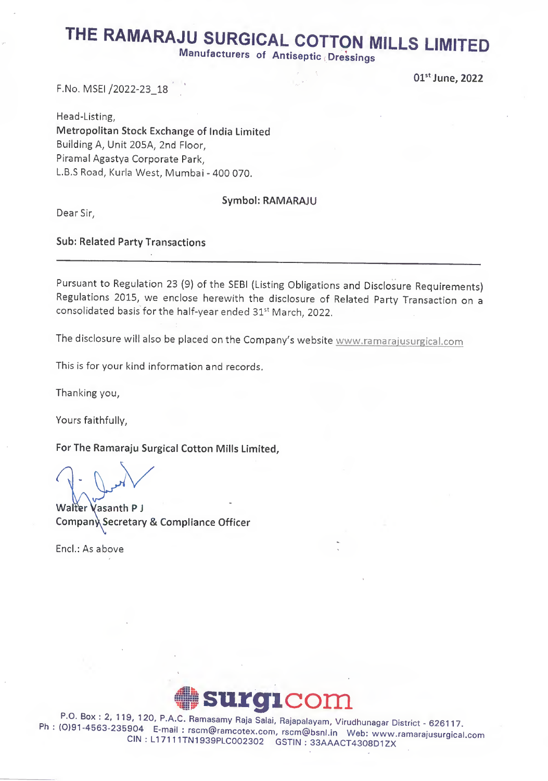# THE RAMARAJU SURGICAL COTTON MILLS LIMITED

Manufacturers of Antiseptic Dressings

## F.No, MSEI /2022-23\_18 '

 $01^{\rm st}$ June, 2022

Head-Listing, Metropolitan Stock Exchange of India Limited Building A, Unit 205A, 2nd Floor, Piramal Agastya Corporate Park, L.B.S Road, Kurla West, Mumbai - 400 070.

# Symbol: RAMARAJU

Dear Sir,

# Sub: Related Party Transactions

Pursuant to Regulation 23 (9) of the SEBI (Listing Obligations and Disclosure Requirements) Regulations 2015, we enclose herewith the disclosure of Related Party Transaction on a consolidated basis for the half-year ended 31<sup>st</sup> March, 2022.

The disclosure will also be placed on the Company's website www.ramarajusurgical.com

This is for your kind information and records.

Thanking you,

Yours faithfully,

For The Ramaraju Surgical Cotton Mills Limited,

Walter Vasanth P J Company Secretary & Compliance Officer

End.: As above



Ph : (0)91-4563-235904 E-mail : rscm@ramcotex.com, rscm@bsnl.jp M/obi www.ramarajusurgical.com P A,C" Ramasamy Raja Salai, Rajapalayam, Virudhunagar District - 626117. CIN , LI 7111TN1939PLC002302 GSTIISI : 33AAACT4308D1ZX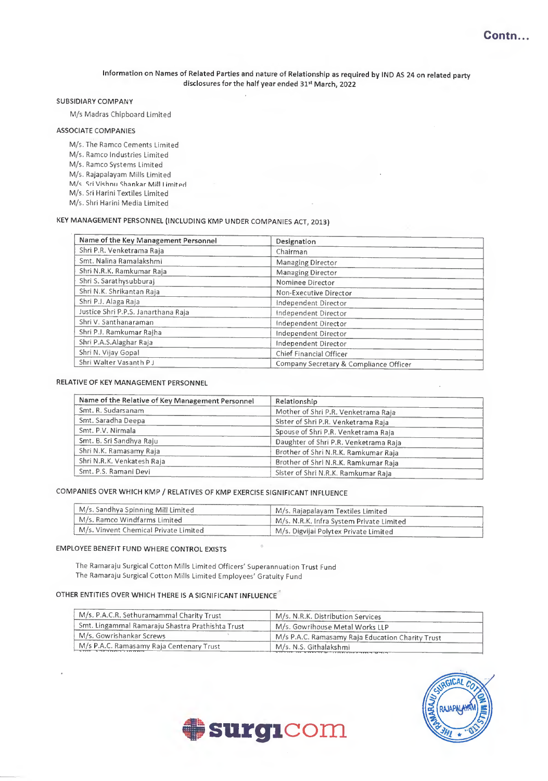#### Information on Names of Related Parties and nature of Relationship as required by IND AS 24 on related party disclosures for the half year ended 31st March, 2022

#### SUBSIDIARY COMPANY

M/s Madras Chipboard Limited

#### ASSOCIATE COMPANIES

- M/s. The Ramco Cements Limited
- M/s. Ramco Industries Limited
- M/s. Ramco Systems Limited
- M/s. Rajapalayam Mills Limited
- M/s. Sri Vishnu Shankar Mill Limited M/s. Sri Harini Textiles Limited
- 
- M/s. Shri Harini Media Limited

## KEY MANAGEMENT PERSONNEL (INCLUDING KMP UNDER COMPANIES ACT, 2013)

| Name of the Key Management Personnel | Designation                            |  |  |  |
|--------------------------------------|----------------------------------------|--|--|--|
| Shri P.R. Venketrama Raja            | Chairman                               |  |  |  |
| Smt. Nalina Ramalakshmi              | Managing Director                      |  |  |  |
| Shri N.R.K. Ramkumar Raja            | <b>Managing Director</b>               |  |  |  |
| Shri S. Sarathysubburaj              | Nominee Director                       |  |  |  |
| Shri N.K. Shrikantan Raja            | Non-Executive Director                 |  |  |  |
| Shri P.J. Alaga Raja                 | Independent Director                   |  |  |  |
| Justice Shri P.P.S. Janarthana Raja  | Independent Director                   |  |  |  |
| Shri V. Santhanaraman                | Independent Director                   |  |  |  |
| Shri P.J. Ramkumar Rajha             | Independent Director                   |  |  |  |
| Shri P.A.S.Alaghar Raja              | Independent Director                   |  |  |  |
| Shri N. Vijay Gopal                  | Chief Financial Officer                |  |  |  |
| Shri Walter Vasanth P J              | Company Secretary & Compliance Officer |  |  |  |

#### RELATIVE OF KEY MANAGEMENT PERSONNEL

| Name of the Relative of Key Management Personnel | Relationship<br>Mother of Shri P.R. Venketrama Raja |  |  |  |
|--------------------------------------------------|-----------------------------------------------------|--|--|--|
| Smt. R. Sudarsanam                               |                                                     |  |  |  |
| Smt. Saradha Deepa                               | Sister of Shri P.R. Venketrama Raja                 |  |  |  |
| Smt. P.V. Nirmala                                | Spouse of Shri P.R. Venketrama Raja                 |  |  |  |
| Smt. B. Sri Sandhya Raju                         | Daughter of Shri P.R. Venketrama Raja               |  |  |  |
| Shri N.K. Ramasamy Raja                          | Brother of Shri N.R.K. Ramkumar Raja                |  |  |  |
| Shri N.R.K. Venkatesh Raja                       | Brother of Shri N.R.K. Ramkumar Raja                |  |  |  |
| Smt. P.S. Ramani Devi                            | Sister of Shri N.R.K. Ramkumar Raja                 |  |  |  |

#### COMPANIES OVER WHICH KMP / RELATIVES OF KMP EXERCISE SIGNIFICANT INFLUENCE

| M/s. Sandhya Spinning Mill Limited    | M/s. Rajapalayam Textiles Limited        |  |  |
|---------------------------------------|------------------------------------------|--|--|
| M/s. Ramco Windfarms Limited          | M/s. N.R.K. Infra System Private Limited |  |  |
| M/s. Vinvent Chemical Private Limited | M/s. Digvijai Polytex Private Limited    |  |  |

#### EMPLOYEE BENEFIT FUND WHERE CONTROL EXISTS

The Ramaraju Surgical Cotton Mills Limited Officers' Superannuation Trust Fund The Ramaraju Surgical Cotton Mills Limited Employees' Gratuity Fund

#### OTHER ENTITIES OVER WHICH THERE IS A SIGNIFICANT INFLUENCE

| M/s. P.A.C.R. Sethuramammal Charity Trust        | M/s. N.R.K. Distribution Services                                                                                                                                                                                                                       |  |  |
|--------------------------------------------------|---------------------------------------------------------------------------------------------------------------------------------------------------------------------------------------------------------------------------------------------------------|--|--|
| Smt. Lingammal Ramaraju Shastra Prathishta Trust | M/s. Gowrihouse Metal Works LLP                                                                                                                                                                                                                         |  |  |
| M/s. Gowrishankar Screws                         | M/s P.A.C. Ramasamy Raja Education Charity Trust                                                                                                                                                                                                        |  |  |
| M/s P.A.C. Ramasamy Raja Centenary Trust         | M/s. N.S. Githalakshmi<br>the state of the control of the state of the state of the control of the state of the state of the state of the state of the state of the state of the state of the state of the state of the state of the state of the state |  |  |